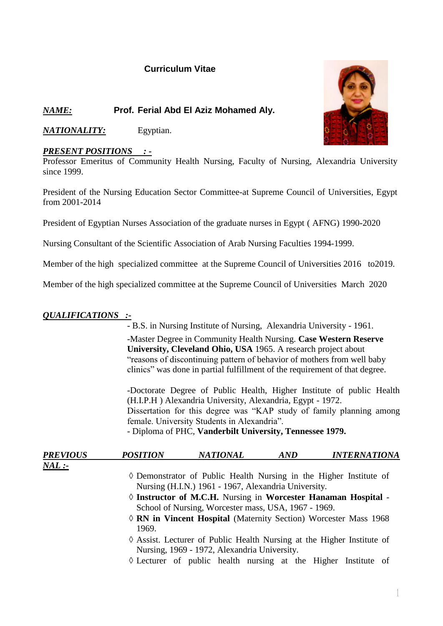# **Curriculum Vitae**

# *NAME:* **Prof. Ferial Abd El Aziz Mohamed Aly.**

*NATIONALITY:* Egyptian.

## *PRESENT POSITIONS : -*

Professor Emeritus of Community Health Nursing, Faculty of Nursing, Alexandria University since 1999.

President of the Nursing Education Sector Committee-at Supreme Council of Universities, Egypt from 2001-2014

President of Egyptian Nurses Association of the graduate nurses in Egypt ( AFNG) 1990-2020

Nursing Consultant of the Scientific Association of Arab Nursing Faculties 1994-1999.

Member of the high specialized committee at the Supreme Council of Universities 2016 to2019.

Member of the high specialized committee at the Supreme Council of Universities March 2020

## *QUALIFICATIONS :-*

- B.S. in Nursing Institute of Nursing, Alexandria University - 1961. -Master Degree in Community Health Nursing. **Case Western Reserve University, Cleveland Ohio, USA** 1965. A research project about "reasons of discontinuing pattern of behavior of mothers from well baby clinics" was done in partial fulfillment of the requirement of that degree.

-Doctorate Degree of Public Health, Higher Institute of public Health (H.I.P.H ) Alexandria University, Alexandria, Egypt - 1972. Dissertation for this degree was "KAP study of family planning among female. University Students in Alexandria". - Diploma of PHC, **Vanderbilt University, Tennessee 1979.**

| <b>PREVIOUS</b> | <b>POSITION</b>                                      | <b>NATIONAL</b>                                                             | AND | <i><b>INTERNATIONA</b></i> |  |
|-----------------|------------------------------------------------------|-----------------------------------------------------------------------------|-----|----------------------------|--|
| $ML$ :-         |                                                      |                                                                             |     |                            |  |
|                 |                                                      | $\Diamond$ Demonstrator of Public Health Nursing in the Higher Institute of |     |                            |  |
|                 | Nursing (H.I.N.) 1961 - 1967, Alexandria University. |                                                                             |     |                            |  |
|                 |                                                      | $\Diamond$ Instructor of M.C.H. Nursing in Worcester Hanaman Hospital -     |     |                            |  |
|                 | School of Nursing, Worcester mass, USA, 1967 - 1969. |                                                                             |     |                            |  |

- **RN in Vincent Hospital** (Maternity Section) Worcester Mass 1968 1969.
- Assist. Lecturer of Public Health Nursing at the Higher Institute of Nursing, 1969 - 1972, Alexandria University.
- $\Diamond$  Lecturer of public health nursing at the Higher Institute of

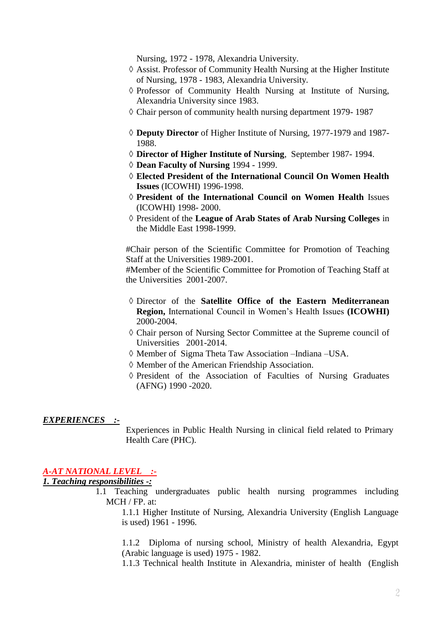Nursing, 1972 - 1978, Alexandria University.

- $\Diamond$  Assist. Professor of Community Health Nursing at the Higher Institute of Nursing, 1978 - 1983, Alexandria University.
- Professor of Community Health Nursing at Institute of Nursing, Alexandria University since 1983.
- $\Diamond$  Chair person of community health nursing department 1979- 1987
- **Deputy Director** of Higher Institute of Nursing, 1977-1979 and 1987- 1988.
- **Director of Higher Institute of Nursing**, September 1987- 1994.
- **Dean Faculty of Nursing** 1994 1999.
- **Elected President of the International Council On Women Health Issues** (ICOWHI) 1996-1998.
- **President of the International Council on Women Health** Issues (ICOWHI) 1998- 2000.
- President of the **League of Arab States of Arab Nursing Colleges** in the Middle East 1998-1999.

#Chair person of the Scientific Committee for Promotion of Teaching Staff at the Universities 1989-2001.

#Member of the Scientific Committee for Promotion of Teaching Staff at the Universities 2001-2007.

- Director of the **Satellite Office of the Eastern Mediterranean Region,** International Council in Women's Health Issues **(ICOWHI)** 2000-2004.
- Chair person of Nursing Sector Committee at the Supreme council of Universities 2001-2014.
- Member of Sigma Theta Taw Association –Indiana –USA.
- Member of the American Friendship Association.
- $\Diamond$  President of the Association of Faculties of Nursing Graduates (AFNG) 1990 -2020.

#### *EXPERIENCES :-*

Experiences in Public Health Nursing in clinical field related to Primary Health Care (PHC).

### *A-AT NATIONAL LEVEL :-*

*1. Teaching responsibilities -:*

1.1 Teaching undergraduates public health nursing programmes including MCH / FP. at:

1.1.1 Higher Institute of Nursing, Alexandria University (English Language is used) 1961 - 1996.

1.1.2 Diploma of nursing school, Ministry of health Alexandria, Egypt (Arabic language is used) 1975 - 1982.

1.1.3 Technical health Institute in Alexandria, minister of health (English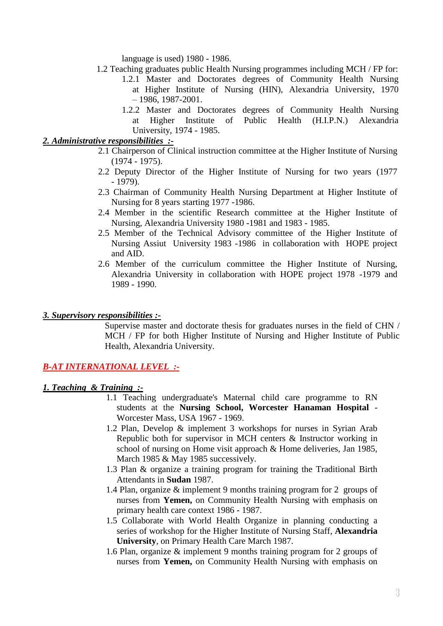language is used) 1980 - 1986.

- 1.2 Teaching graduates public Health Nursing programmes including MCH / FP for:
	- 1.2.1 Master and Doctorates degrees of Community Health Nursing at Higher Institute of Nursing (HIN), Alexandria University, 1970 – 1986, 1987-2001.
	- 1.2.2 Master and Doctorates degrees of Community Health Nursing at Higher Institute of Public Health (H.I.P.N.) Alexandria University, 1974 - 1985.

### *2. Administrative responsibilities :-*

- 2.1 Chairperson of Clinical instruction committee at the Higher Institute of Nursing (1974 - 1975).
- 2.2 Deputy Director of the Higher Institute of Nursing for two years (1977 - 1979).
- 2.3 Chairman of Community Health Nursing Department at Higher Institute of Nursing for 8 years starting 1977 -1986.
- 2.4 Member in the scientific Research committee at the Higher Institute of Nursing, Alexandria University 1980 -1981 and 1983 - 1985.
- 2.5 Member of the Technical Advisory committee of the Higher Institute of Nursing Assiut University 1983 -1986 in collaboration with HOPE project and AID.
- 2.6 Member of the curriculum committee the Higher Institute of Nursing, Alexandria University in collaboration with HOPE project 1978 -1979 and 1989 - 1990.

#### *3. Supervisory responsibilities :-*

Supervise master and doctorate thesis for graduates nurses in the field of CHN / MCH / FP for both Higher Institute of Nursing and Higher Institute of Public Health, Alexandria University.

### *B-AT INTERNATIONAL LEVEL :-*

### *1. Teaching & Training :-*

- 1.1 Teaching undergraduate's Maternal child care programme to RN students at the **Nursing School, Worcester Hanaman Hospital** - Worcester Mass, USA 1967 - 1969.
- 1.2 Plan, Develop & implement 3 workshops for nurses in Syrian Arab Republic both for supervisor in MCH centers & Instructor working in school of nursing on Home visit approach & Home deliveries, Jan 1985, March 1985 & May 1985 successively.
- 1.3 Plan & organize a training program for training the Traditional Birth Attendants in **Sudan** 1987.
- 1.4 Plan, organize & implement 9 months training program for 2 groups of nurses from **Yemen,** on Community Health Nursing with emphasis on primary health care context 1986 - 1987.
- 1.5 Collaborate with World Health Organize in planning conducting a series of workshop for the Higher Institute of Nursing Staff, **Alexandria University**, on Primary Health Care March 1987.
- 1.6 Plan, organize & implement 9 months training program for 2 groups of nurses from **Yemen,** on Community Health Nursing with emphasis on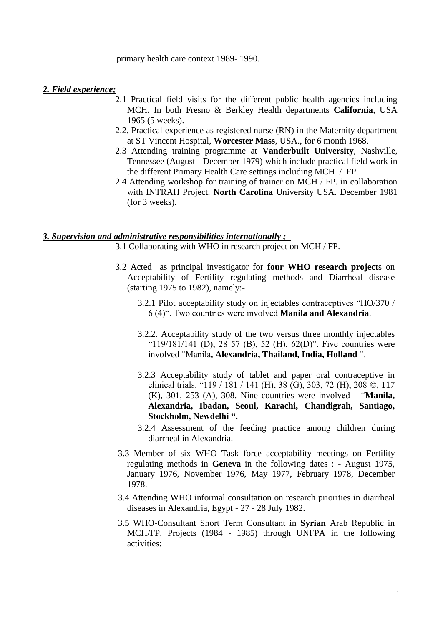primary health care context 1989- 1990.

#### *2. Field experience;*

- 2.1 Practical field visits for the different public health agencies including MCH. In both Fresno & Berkley Health departments **California**, USA 1965 (5 weeks).
- 2.2. Practical experience as registered nurse (RN) in the Maternity department at ST Vincent Hospital, **Worcester Mass**, USA., for 6 month 1968.
- 2.3 Attending training programme at **Vanderbuilt University**, Nashville, Tennessee (August - December 1979) which include practical field work in the different Primary Health Care settings including MCH / FP.
- 2.4 Attending workshop for training of trainer on MCH / FP. in collaboration with INTRAH Project. **North Carolina** University USA. December 1981 (for 3 weeks).

#### *3. Supervision and administrative responsibilities internationally ; -*

- 3.1 Collaborating with WHO in research project on MCH / FP.
- 3.2 Acted as principal investigator for **four WHO research project**s on Acceptability of Fertility regulating methods and Diarrheal disease (starting 1975 to 1982), namely:-
	- 3.2.1 Pilot acceptability study on injectables contraceptives "HO/370 / 6 (4)". Two countries were involved **Manila and Alexandria**.
	- 3.2.2. Acceptability study of the two versus three monthly injectables " $119/181/141$  (D), 28 57 (B), 52 (H), 62(D)". Five countries were involved "Manila**, Alexandria, Thailand, India, Holland** ".
	- 3.2.3 Acceptability study of tablet and paper oral contraceptive in clinical trials. "119 / 181 / 141 (H), 38 (G), 303, 72 (H), 208 ©, 117 (K), 301, 253 (A), 308. Nine countries were involved "**Manila, Alexandria, Ibadan, Seoul, Karachi, Chandigrah, Santiago, Stockholm, Newdelhi ".**
	- 3.2.4 Assessment of the feeding practice among children during diarrheal in Alexandria.
- 3.3 Member of six WHO Task force acceptability meetings on Fertility regulating methods in **Geneva** in the following dates : - August 1975, January 1976, November 1976, May 1977, February 1978, December 1978.
- 3.4 Attending WHO informal consultation on research priorities in diarrheal diseases in Alexandria, Egypt - 27 - 28 July 1982.
- 3.5 WHO-Consultant Short Term Consultant in **Syrian** Arab Republic in MCH/FP. Projects (1984 - 1985) through UNFPA in the following activities: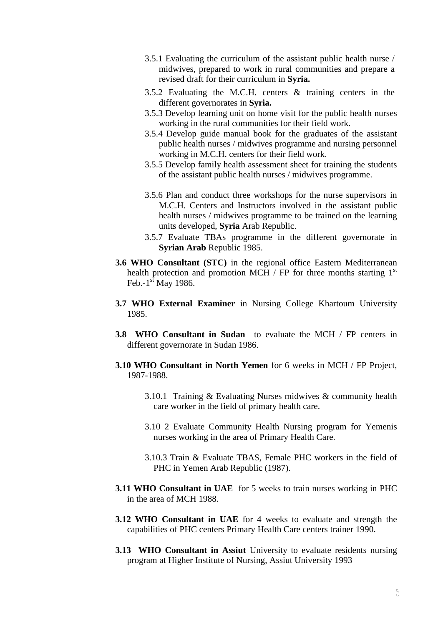- 3.5.1 Evaluating the curriculum of the assistant public health nurse / midwives, prepared to work in rural communities and prepare a revised draft for their curriculum in **Syria.**
- 3.5.2 Evaluating the M.C.H. centers & training centers in the different governorates in **Syria.**
- 3.5.3 Develop learning unit on home visit for the public health nurses working in the rural communities for their field work.
- 3.5.4 Develop guide manual book for the graduates of the assistant public health nurses / midwives programme and nursing personnel working in M.C.H. centers for their field work.
- 3.5.5 Develop family health assessment sheet for training the students of the assistant public health nurses / midwives programme.
- 3.5.6 Plan and conduct three workshops for the nurse supervisors in M.C.H. Centers and Instructors involved in the assistant public health nurses / midwives programme to be trained on the learning units developed, **Syria** Arab Republic.
- 3.5.7 Evaluate TBAs programme in the different governorate in **Syrian Arab** Republic 1985.
- **3.6 WHO Consultant (STC)** in the regional office Eastern Mediterranean health protection and promotion MCH / FP for three months starting  $1<sup>st</sup>$ Feb.- $1<sup>st</sup>$  May 1986.
- **3.7 WHO External Examiner** in Nursing College Khartoum University 1985.
- **3.8 WHO Consultant in Sudan** to evaluate the MCH / FP centers in different governorate in Sudan 1986.
- **3.10 WHO Consultant in North Yemen** for 6 weeks in MCH / FP Project, 1987-1988.
	- 3.10.1 Training & Evaluating Nurses midwives & community health care worker in the field of primary health care.
	- 3.10 2 Evaluate Community Health Nursing program for Yemenis nurses working in the area of Primary Health Care.
	- 3.10.3 Train & Evaluate TBAS, Female PHC workers in the field of PHC in Yemen Arab Republic (1987).
- **3.11 WHO Consultant in UAE** for 5 weeks to train nurses working in PHC in the area of MCH 1988.
- **3.12 WHO Consultant in UAE** for 4 weeks to evaluate and strength the capabilities of PHC centers Primary Health Care centers trainer 1990.
- **3.13 WHO Consultant in Assiut** University to evaluate residents nursing program at Higher Institute of Nursing, Assiut University 1993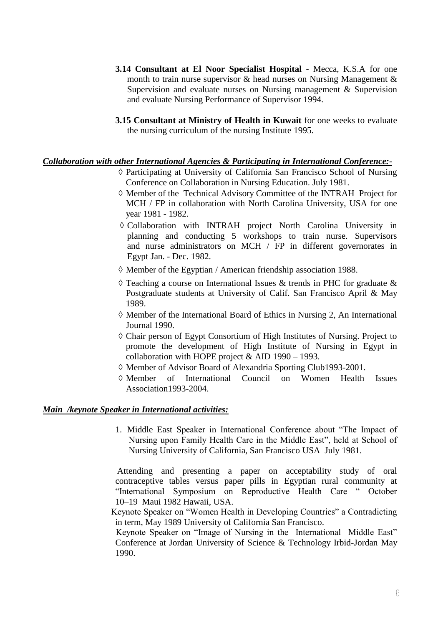- **3.14 Consultant at El Noor Specialist Hospital** Mecca, K.S.A for one month to train nurse supervisor & head nurses on Nursing Management & Supervision and evaluate nurses on Nursing management & Supervision and evaluate Nursing Performance of Supervisor 1994.
- **3.15 Consultant at Ministry of Health in Kuwait** for one weeks to evaluate the nursing curriculum of the nursing Institute 1995.

### *Collaboration with other International Agencies & Participating in International Conference:-*

- Participating at University of California San Francisco School of Nursing Conference on Collaboration in Nursing Education. July 1981.
- Member of the Technical Advisory Committee of the INTRAH Project for MCH / FP in collaboration with North Carolina University, USA for one year 1981 - 1982.
- Collaboration with INTRAH project North Carolina University in planning and conducting 5 workshops to train nurse. Supervisors and nurse administrators on MCH / FP in different governorates in Egypt Jan. - Dec. 1982.
- $\Diamond$  Member of the Egyptian / American friendship association 1988.
- $\Diamond$  Teaching a course on International Issues & trends in PHC for graduate & Postgraduate students at University of Calif. San Francisco April & May 1989.
- $\Diamond$  Member of the International Board of Ethics in Nursing 2, An International Journal 1990.
- $\Diamond$  Chair person of Egypt Consortium of High Institutes of Nursing. Project to promote the development of High Institute of Nursing in Egypt in collaboration with HOPE project & AID 1990 – 1993.
- Member of Advisor Board of Alexandria Sporting Club1993-2001.
- Member of International Council on Women Health Issues Association1993-2004.

### *Main /keynote Speaker in International activities:*

1. Middle East Speaker in International Conference about "The Impact of Nursing upon Family Health Care in the Middle East", held at School of Nursing University of California, San Francisco USA July 1981.

Attending and presenting a paper on acceptability study of oral contraceptive tables versus paper pills in Egyptian rural community at "International Symposium on Reproductive Health Care " October 10–19 Maui 1982 Hawaii, USA.

3. Keynote Speaker on "Women Health in Developing Countries" a Contradicting in term, May 1989 University of California San Francisco.

Keynote Speaker on "Image of Nursing in the International Middle East" Conference at Jordan University of Science & Technology Irbid-Jordan May 1990.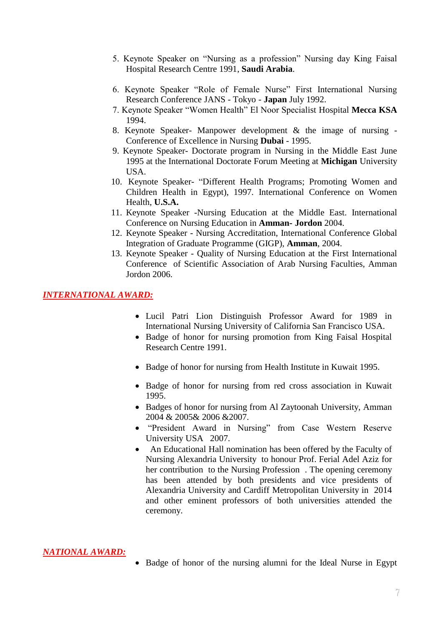- 5. Keynote Speaker on "Nursing as a profession" Nursing day King Faisal Hospital Research Centre 1991, **Saudi Arabia**.
- 6. Keynote Speaker "Role of Female Nurse" First International Nursing Research Conference JANS - Tokyo - **Japan** July 1992.
- 7. Keynote Speaker "Women Health" El Noor Specialist Hospital **Mecca KSA** 1994.
- 8. Keynote Speaker- Manpower development & the image of nursing Conference of Excellence in Nursing **Dubai** - 1995.
- 9. Keynote Speaker- Doctorate program in Nursing in the Middle East June 1995 at the International Doctorate Forum Meeting at **Michigan** University USA.
- 10. Keynote Speaker- "Different Health Programs; Promoting Women and Children Health in Egypt), 1997. International Conference on Women Health, **U.S.A.**
- 11. Keynote Speaker -Nursing Education at the Middle East. International Conference on Nursing Education in **Amman- Jordon** 2004.
- 12. Keynote Speaker Nursing Accreditation, International Conference Global Integration of Graduate Programme (GIGP), **Amman**, 2004.
- 13. Keynote Speaker Quality of Nursing Education at the First International Conference of Scientific Association of Arab Nursing Faculties, Amman Jordon 2006.

### *INTERNATIONAL AWARD:*

- Lucil Patri Lion Distinguish Professor Award for 1989 in International Nursing University of California San Francisco USA.
- Badge of honor for nursing promotion from King Faisal Hospital Research Centre 1991.
- Badge of honor for nursing from Health Institute in Kuwait 1995.
- Badge of honor for nursing from red cross association in Kuwait 1995.
- Badges of honor for nursing from Al Zaytoonah University, Amman 2004 & 2005& 2006 &2007.
- "President Award in Nursing" from Case Western Reserve University USA 2007.
- An Educational Hall nomination has been offered by the Faculty of Nursing Alexandria University to honour Prof. Ferial Adel Aziz for her contribution to the Nursing Profession . The opening ceremony has been attended by both presidents and vice presidents of Alexandria University and Cardiff Metropolitan University in 2014 and other eminent professors of both universities attended the ceremony.

#### *NATIONAL AWARD:*

• Badge of honor of the nursing alumni for the Ideal Nurse in Egypt